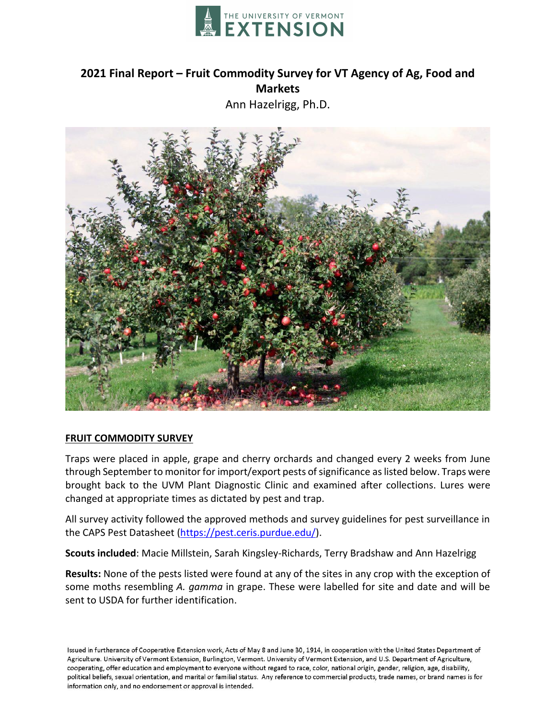

# **2021 Final Report – Fruit Commodity Survey for VT Agency of Ag, Food and Markets**

Ann Hazelrigg, Ph.D.



# **FRUIT COMMODITY SURVEY**

Traps were placed in apple, grape and cherry orchards and changed every 2 weeks from June through September to monitor for import/export pests of significance as listed below. Traps were brought back to the UVM Plant Diagnostic Clinic and examined after collections. Lures were changed at appropriate times as dictated by pest and trap.

All survey activity followed the approved methods and survey guidelines for pest surveillance in the CAPS Pest Datasheet [\(https://pest.ceris.purdue.edu/\)](https://pest.ceris.purdue.edu/).

**Scouts included**: Macie Millstein, Sarah Kingsley-Richards, Terry Bradshaw and Ann Hazelrigg

**Results:** None of the pests listed were found at any of the sites in any crop with the exception of some moths resembling *A. gamma* in grape. These were labelled for site and date and will be sent to USDA for further identification.

Issued in furtherance of Cooperative Extension work, Acts of May 8 and June 30, 1914, in cooperation with the United States Department of Agriculture. University of Vermont Extension, Burlington, Vermont. University of Vermont Extension, and U.S. Department of Agriculture, cooperating, offer education and employment to everyone without regard to race, color, national origin, gender, religion, age, disability, political beliefs, sexual orientation, and marital or familial status. Any reference to commercial products, trade names, or brand names is for information only, and no endorsement or approval is intended.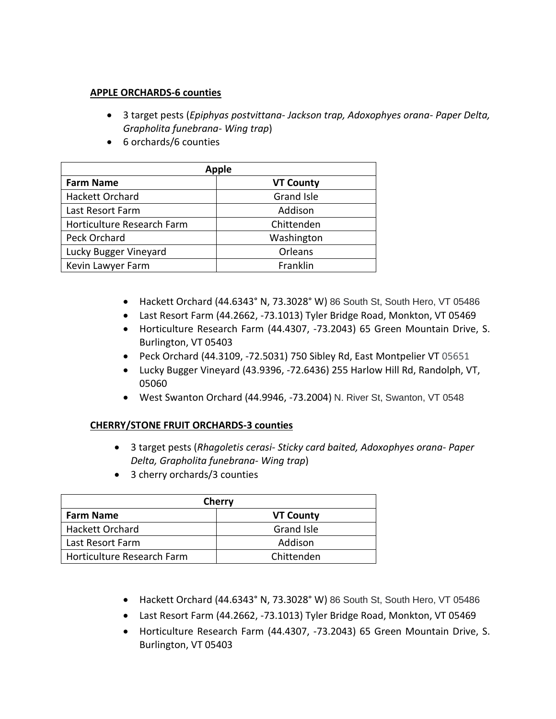# **APPLE ORCHARDS-6 counties**

- 3 target pests (*Epiphyas postvittana- Jackson trap, Adoxophyes orana- Paper Delta, Grapholita funebrana- Wing trap*)
- 6 orchards/6 counties

| <b>Apple</b>               |                   |  |
|----------------------------|-------------------|--|
| <b>Farm Name</b>           | <b>VT County</b>  |  |
| Hackett Orchard            | <b>Grand Isle</b> |  |
| Last Resort Farm           | Addison           |  |
| Horticulture Research Farm | Chittenden        |  |
| Peck Orchard               | Washington        |  |
| Lucky Bugger Vineyard      | Orleans           |  |
| Kevin Lawyer Farm          | Franklin          |  |

- Hackett Orchard (44.6343° N, 73.3028° W) 86 South St, South Hero, VT 05486
- Last Resort Farm (44.2662, -73.1013) Tyler Bridge Road, Monkton, VT 05469
- Horticulture Research Farm (44.4307, -73.2043) 65 Green Mountain Drive, S. Burlington, VT 05403
- Peck Orchard (44.3109, -72.5031) 750 Sibley Rd, East Montpelier VT 05651
- Lucky Bugger Vineyard (43.9396, -72.6436) 255 Harlow Hill Rd, Randolph, VT, 05060
- West Swanton Orchard (44.9946, -73.2004) N. River St, Swanton, VT 0548

# **CHERRY/STONE FRUIT ORCHARDS-3 counties**

- 3 target pests (*Rhagoletis cerasi- Sticky card baited, Adoxophyes orana- Paper Delta, Grapholita funebrana- Wing trap*)
- 3 cherry orchards/3 counties

| Cherry                            |                  |  |
|-----------------------------------|------------------|--|
| <b>Farm Name</b>                  | <b>VT County</b> |  |
| <b>Hackett Orchard</b>            | Grand Isle       |  |
| Last Resort Farm                  | Addison          |  |
| <b>Horticulture Research Farm</b> | Chittenden       |  |

- Hackett Orchard (44.6343° N, 73.3028° W) 86 South St, South Hero, VT 05486
- Last Resort Farm (44.2662, -73.1013) Tyler Bridge Road, Monkton, VT 05469
- Horticulture Research Farm (44.4307, -73.2043) 65 Green Mountain Drive, S. Burlington, VT 05403